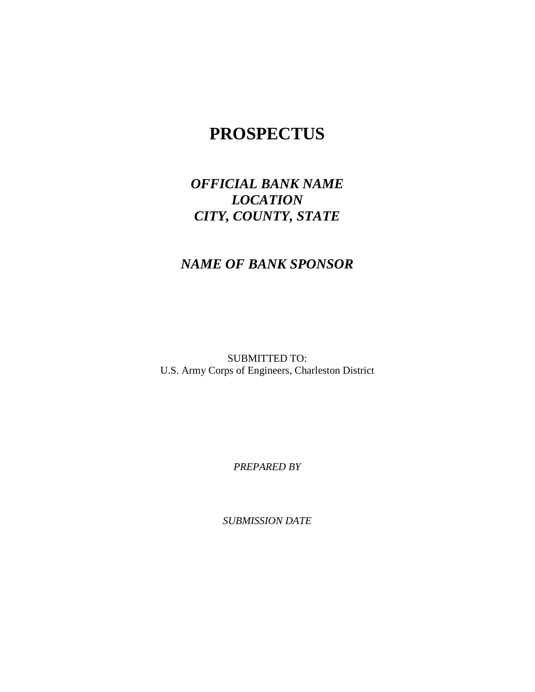# **PROSPECTUS**

# *OFFICIAL BANK NAME LOCATION CITY, COUNTY, STATE*

## *NAME OF BANK SPONSOR*

SUBMITTED TO: U.S. Army Corps of Engineers, Charleston District

*PREPARED BY*

*SUBMISSION DATE*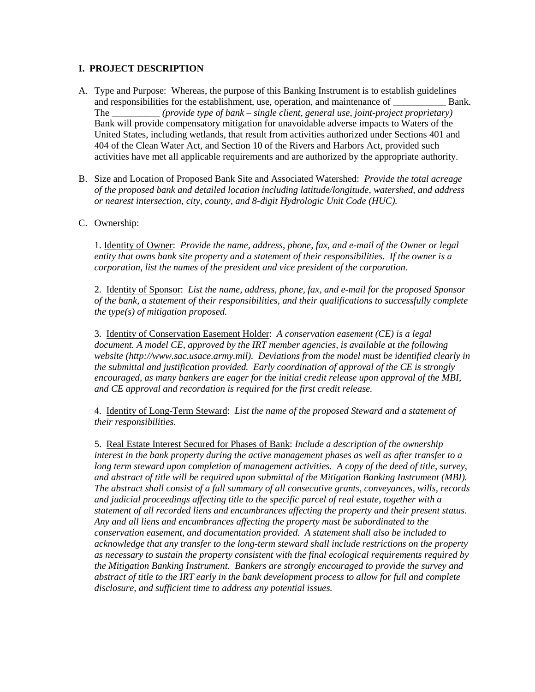#### **I. PROJECT DESCRIPTION**

- A. Type and Purpose: Whereas, the purpose of this Banking Instrument is to establish guidelines and responsibilities for the establishment, use, operation, and maintenance of Bank. The \_\_\_\_\_\_\_\_\_\_ *(provide type of bank – single client, general use, joint-project proprietary)* Bank will provide compensatory mitigation for unavoidable adverse impacts to Waters of the United States, including wetlands, that result from activities authorized under Sections 401 and 404 of the Clean Water Act, and Section 10 of the Rivers and Harbors Act, provided such activities have met all applicable requirements and are authorized by the appropriate authority.
- B. Size and Location of Proposed Bank Site and Associated Watershed: *Provide the total acreage of the proposed bank and detailed location including latitude/longitude, watershed, and address or nearest intersection, city, county, and 8-digit Hydrologic Unit Code (HUC).*

#### C. Ownership:

1. Identity of Owner: *Provide the name, address, phone, fax, and e-mail of the Owner or legal entity that owns bank site property and a statement of their responsibilities. If the owner is a corporation, list the names of the president and vice president of the corporation.* 

2. Identity of Sponsor: *List the name, address, phone, fax, and e-mail for the proposed Sponsor of the bank, a statement of their responsibilities, and their qualifications to successfully complete the type(s) of mitigation proposed.*

3. Identity of Conservation Easement Holder: *A conservation easement (CE) is a legal document. A model CE, approved by the IRT member agencies, is available at the following website (http://www.sac.usace.army.mil). Deviations from the model must be identified clearly in the submittal and justification provided. Early coordination of approval of the CE is strongly encouraged, as many bankers are eager for the initial credit release upon approval of the MBI, and CE approval and recordation is required for the first credit release.*

4. Identity of Long-Term Steward: *List the name of the proposed Steward and a statement of their responsibilities.*

5. Real Estate Interest Secured for Phases of Bank: *Include a description of the ownership interest in the bank property during the active management phases as well as after transfer to a long term steward upon completion of management activities. A copy of the deed of title, survey, and abstract of title will be required upon submittal of the Mitigation Banking Instrument (MBI). The abstract shall consist of a full summary of all consecutive grants, conveyances, wills, records and judicial proceedings affecting title to the specific parcel of real estate, together with a statement of all recorded liens and encumbrances affecting the property and their present status. Any and all liens and encumbrances affecting the property must be subordinated to the conservation easement, and documentation provided. A statement shall also be included to acknowledge that any transfer to the long-term steward shall include restrictions on the property as necessary to sustain the property consistent with the final ecological requirements required by the Mitigation Banking Instrument. Bankers are strongly encouraged to provide the survey and abstract of title to the IRT early in the bank development process to allow for full and complete disclosure, and sufficient time to address any potential issues.*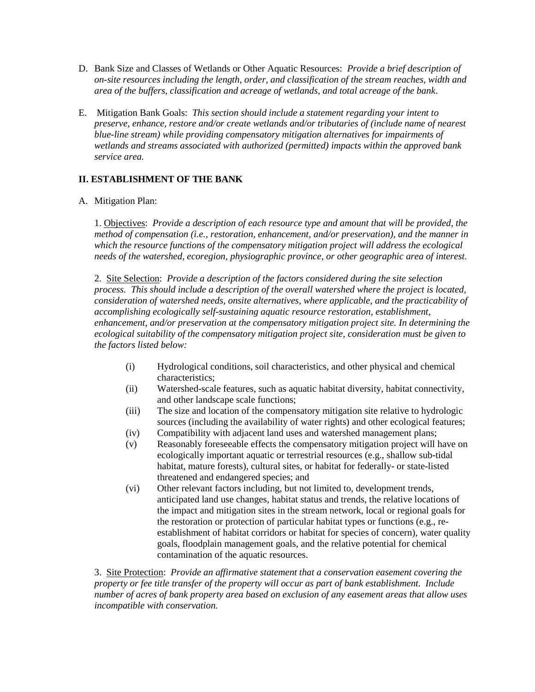- D. Bank Size and Classes of Wetlands or Other Aquatic Resources: *Provide a brief description of on-site resources including the length, order, and classification of the stream reaches, width and area of the buffers, classification and acreage of wetlands, and total acreage of the bank*.
- E. Mitigation Bank Goals: *This section should include a statement regarding your intent to preserve, enhance, restore and/or create wetlands and/or tributaries of (include name of nearest blue-line stream) while providing compensatory mitigation alternatives for impairments of wetlands and streams associated with authorized (permitted) impacts within the approved bank service area.*

### **II. ESTABLISHMENT OF THE BANK**

A. Mitigation Plan:

1. Objectives: *Provide a description of each resource type and amount that will be provided, the method of compensation (i.e., restoration, enhancement, and/or preservation), and the manner in which the resource functions of the compensatory mitigation project will address the ecological needs of the watershed, ecoregion, physiographic province, or other geographic area of interest.*

2. Site Selection: *Provide a description of the factors considered during the site selection process. This should include a description of the overall watershed where the project is located, consideration of watershed needs, onsite alternatives, where applicable, and the practicability of accomplishing ecologically self-sustaining aquatic resource restoration, establishment, enhancement, and/or preservation at the compensatory mitigation project site. In determining the ecological suitability of the compensatory mitigation project site, consideration must be given to the factors listed below:*

- (i) Hydrological conditions, soil characteristics, and other physical and chemical characteristics;
- (ii) Watershed-scale features, such as aquatic habitat diversity, habitat connectivity, and other landscape scale functions;
- (iii) The size and location of the compensatory mitigation site relative to hydrologic sources (including the availability of water rights) and other ecological features;
- (iv) Compatibility with adjacent land uses and watershed management plans;
- (v) Reasonably foreseeable effects the compensatory mitigation project will have on ecologically important aquatic or terrestrial resources (e.g., shallow sub-tidal habitat, mature forests), cultural sites, or habitat for federally- or state-listed threatened and endangered species; and
- (vi) Other relevant factors including, but not limited to, development trends, anticipated land use changes, habitat status and trends, the relative locations of the impact and mitigation sites in the stream network, local or regional goals for the restoration or protection of particular habitat types or functions (e.g., reestablishment of habitat corridors or habitat for species of concern), water quality goals, floodplain management goals, and the relative potential for chemical contamination of the aquatic resources.

3. Site Protection: *Provide an affirmative statement that a conservation easement covering the property or fee title transfer of the property will occur as part of bank establishment. Include number of acres of bank property area based on exclusion of any easement areas that allow uses incompatible with conservation.*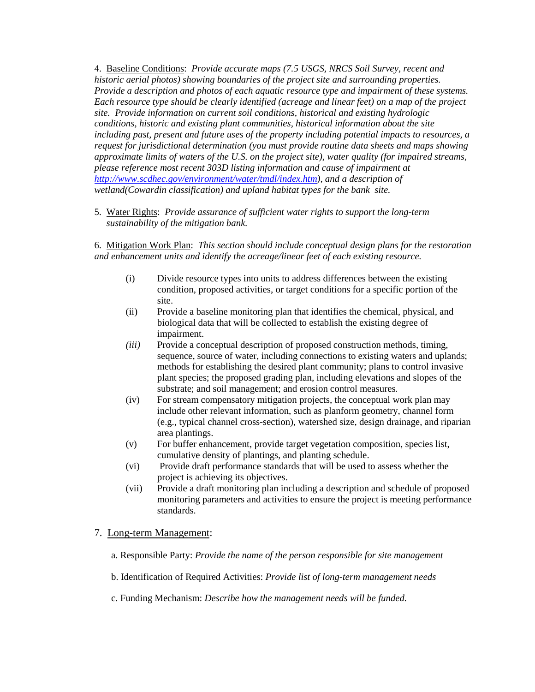4. Baseline Conditions: *Provide accurate maps (7.5 USGS, NRCS Soil Survey, recent and historic aerial photos) showing boundaries of the project site and surrounding properties. Provide a description and photos of each aquatic resource type and impairment of these systems. Each resource type should be clearly identified (acreage and linear feet) on a map of the project site. Provide information on current soil conditions, historical and existing hydrologic conditions, historic and existing plant communities, historical information about the site including past, present and future uses of the property including potential impacts to resources, a request for jurisdictional determination (you must provide routine data sheets and maps showing approximate limits of waters of the U.S. on the project site), water quality (for impaired streams, please reference most recent 303D listing information and cause of impairment at [http://www.scdhec.gov/environment/water/tmdl/index.htm\)](http://www.scdhec.gov/environment/water/tmdl/index.htm), and a description of wetland(Cowardin classification) and upland habitat types for the bank site.*

5.Water Rights : *Provide assurance of sufficient water rights to support the long-term sustainability of the mitigation bank.*

6. Mitigation Work Plan: *This section should include conceptual design plans for the restoration and enhancement units and identify the acreage/linear feet of each existing resource.*

- (i) Divide resource types into units to address differences between the existing condition, proposed activities, or target conditions for a specific portion of the site.
- (ii) Provide a baseline monitoring plan that identifies the chemical, physical, and biological data that will be collected to establish the existing degree of impairment.
- *(iii)* Provide a conceptual description of proposed construction methods, timing, sequence, source of water, including connections to existing waters and uplands; methods for establishing the desired plant community; plans to control invasive plant species; the proposed grading plan, including elevations and slopes of the substrate; and soil management; and erosion control measures*.*
- (iv) For stream compensatory mitigation projects, the conceptual work plan may include other relevant information, such as planform geometry, channel form (e.g., typical channel cross-section), watershed size, design drainage, and riparian area plantings.
- (v) For buffer enhancement, provide target vegetation composition, species list, cumulative density of plantings, and planting schedule.
- (vi) Provide draft performance standards that will be used to assess whether the project is achieving its objectives.
- (vii) Provide a draft monitoring plan including a description and schedule of proposed monitoring parameters and activities to ensure the project is meeting performance standards.

#### 7. Long-term Management :

- a. Responsible Party: *Provide the name of the person responsible for site management*
- b. Identification of Required Activities: *Provide list of long-term management needs*
- c. Funding Mechanism: *Describe how the management needs will be funded.*